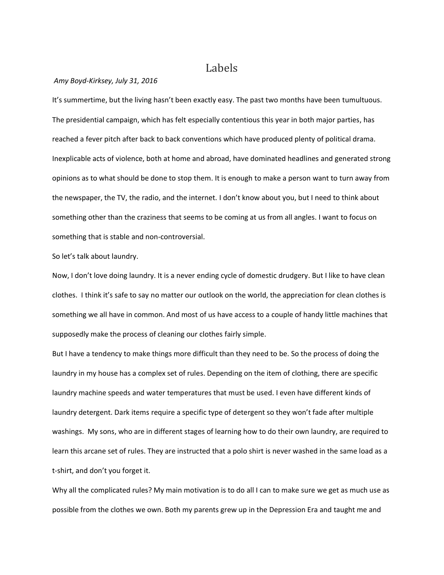## Labels

## *Amy Boyd-Kirksey, July 31, 2016*

It's summertime, but the living hasn't been exactly easy. The past two months have been tumultuous. The presidential campaign, which has felt especially contentious this year in both major parties, has reached a fever pitch after back to back conventions which have produced plenty of political drama. Inexplicable acts of violence, both at home and abroad, have dominated headlines and generated strong opinions as to what should be done to stop them. It is enough to make a person want to turn away from the newspaper, the TV, the radio, and the internet. I don't know about you, but I need to think about something other than the craziness that seems to be coming at us from all angles. I want to focus on something that is stable and non-controversial.

So let's talk about laundry.

Now, I don't love doing laundry. It is a never ending cycle of domestic drudgery. But I like to have clean clothes. I think it's safe to say no matter our outlook on the world, the appreciation for clean clothes is something we all have in common. And most of us have access to a couple of handy little machines that supposedly make the process of cleaning our clothes fairly simple.

But I have a tendency to make things more difficult than they need to be. So the process of doing the laundry in my house has a complex set of rules. Depending on the item of clothing, there are specific laundry machine speeds and water temperatures that must be used. I even have different kinds of laundry detergent. Dark items require a specific type of detergent so they won't fade after multiple washings. My sons, who are in different stages of learning how to do their own laundry, are required to learn this arcane set of rules. They are instructed that a polo shirt is never washed in the same load as a t-shirt, and don't you forget it.

Why all the complicated rules? My main motivation is to do all I can to make sure we get as much use as possible from the clothes we own. Both my parents grew up in the Depression Era and taught me and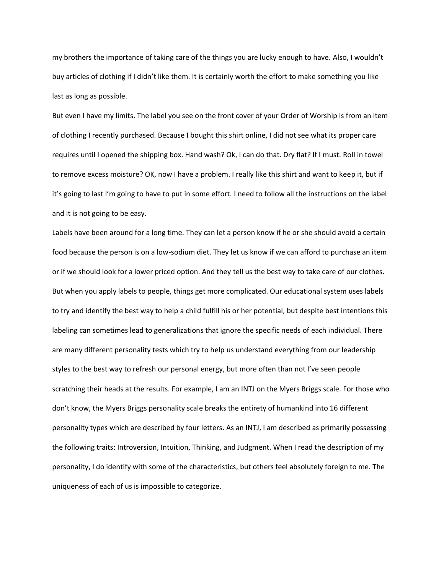my brothers the importance of taking care of the things you are lucky enough to have. Also, I wouldn't buy articles of clothing if I didn't like them. It is certainly worth the effort to make something you like last as long as possible.

But even I have my limits. The label you see on the front cover of your Order of Worship is from an item of clothing I recently purchased. Because I bought this shirt online, I did not see what its proper care requires until I opened the shipping box. Hand wash? Ok, I can do that. Dry flat? If I must. Roll in towel to remove excess moisture? OK, now I have a problem. I really like this shirt and want to keep it, but if it's going to last I'm going to have to put in some effort. I need to follow all the instructions on the label and it is not going to be easy.

Labels have been around for a long time. They can let a person know if he or she should avoid a certain food because the person is on a low-sodium diet. They let us know if we can afford to purchase an item or if we should look for a lower priced option. And they tell us the best way to take care of our clothes. But when you apply labels to people, things get more complicated. Our educational system uses labels to try and identify the best way to help a child fulfill his or her potential, but despite best intentions this labeling can sometimes lead to generalizations that ignore the specific needs of each individual. There are many different personality tests which try to help us understand everything from our leadership styles to the best way to refresh our personal energy, but more often than not I've seen people scratching their heads at the results. For example, I am an INTJ on the Myers Briggs scale. For those who don't know, the Myers Briggs personality scale breaks the entirety of humankind into 16 different personality types which are described by four letters. As an INTJ, I am described as primarily possessing the following traits: Introversion, Intuition, Thinking, and Judgment. When I read the description of my personality, I do identify with some of the characteristics, but others feel absolutely foreign to me. The uniqueness of each of us is impossible to categorize.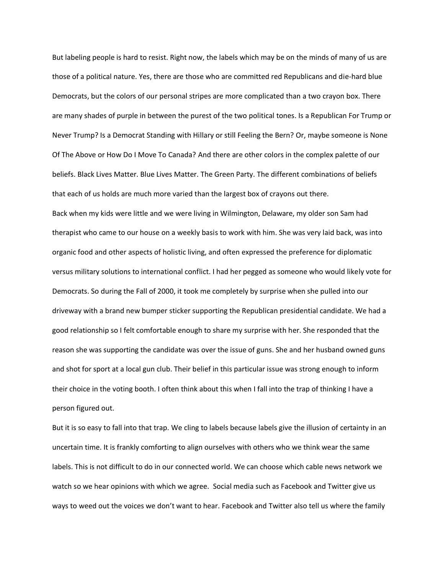But labeling people is hard to resist. Right now, the labels which may be on the minds of many of us are those of a political nature. Yes, there are those who are committed red Republicans and die-hard blue Democrats, but the colors of our personal stripes are more complicated than a two crayon box. There are many shades of purple in between the purest of the two political tones. Is a Republican For Trump or Never Trump? Is a Democrat Standing with Hillary or still Feeling the Bern? Or, maybe someone is None Of The Above or How Do I Move To Canada? And there are other colors in the complex palette of our beliefs. Black Lives Matter. Blue Lives Matter. The Green Party. The different combinations of beliefs that each of us holds are much more varied than the largest box of crayons out there. Back when my kids were little and we were living in Wilmington, Delaware, my older son Sam had therapist who came to our house on a weekly basis to work with him. She was very laid back, was into organic food and other aspects of holistic living, and often expressed the preference for diplomatic versus military solutions to international conflict. I had her pegged as someone who would likely vote for Democrats. So during the Fall of 2000, it took me completely by surprise when she pulled into our driveway with a brand new bumper sticker supporting the Republican presidential candidate. We had a good relationship so I felt comfortable enough to share my surprise with her. She responded that the reason she was supporting the candidate was over the issue of guns. She and her husband owned guns and shot for sport at a local gun club. Their belief in this particular issue was strong enough to inform their choice in the voting booth. I often think about this when I fall into the trap of thinking I have a

person figured out.

But it is so easy to fall into that trap. We cling to labels because labels give the illusion of certainty in an uncertain time. It is frankly comforting to align ourselves with others who we think wear the same labels. This is not difficult to do in our connected world. We can choose which cable news network we watch so we hear opinions with which we agree. Social media such as Facebook and Twitter give us ways to weed out the voices we don't want to hear. Facebook and Twitter also tell us where the family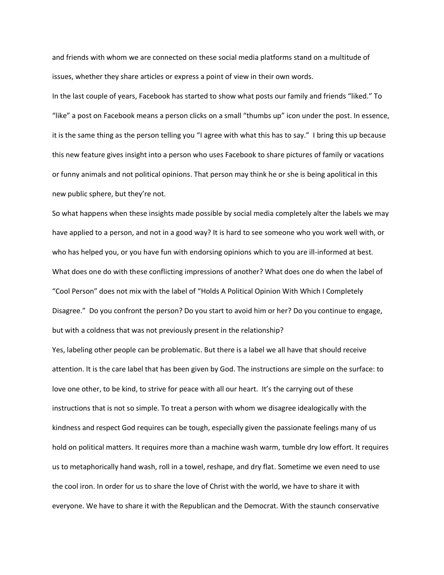and friends with whom we are connected on these social media platforms stand on a multitude of issues, whether they share articles or express a point of view in their own words.

In the last couple of years, Facebook has started to show what posts our family and friends "liked." To "like" a post on Facebook means a person clicks on a small "thumbs up" icon under the post. In essence, it is the same thing as the person telling you "I agree with what this has to say." I bring this up because this new feature gives insight into a person who uses Facebook to share pictures of family or vacations or funny animals and not political opinions. That person may think he or she is being apolitical in this new public sphere, but they're not.

So what happens when these insights made possible by social media completely alter the labels we may have applied to a person, and not in a good way? It is hard to see someone who you work well with, or who has helped you, or you have fun with endorsing opinions which to you are ill-informed at best. What does one do with these conflicting impressions of another? What does one do when the label of "Cool Person" does not mix with the label of "Holds A Political Opinion With Which I Completely Disagree." Do you confront the person? Do you start to avoid him or her? Do you continue to engage, but with a coldness that was not previously present in the relationship?

Yes, labeling other people can be problematic. But there is a label we all have that should receive attention. It is the care label that has been given by God. The instructions are simple on the surface: to love one other, to be kind, to strive for peace with all our heart. It's the carrying out of these instructions that is not so simple. To treat a person with whom we disagree idealogically with the kindness and respect God requires can be tough, especially given the passionate feelings many of us hold on political matters. It requires more than a machine wash warm, tumble dry low effort. It requires us to metaphorically hand wash, roll in a towel, reshape, and dry flat. Sometime we even need to use the cool iron. In order for us to share the love of Christ with the world, we have to share it with everyone. We have to share it with the Republican and the Democrat. With the staunch conservative